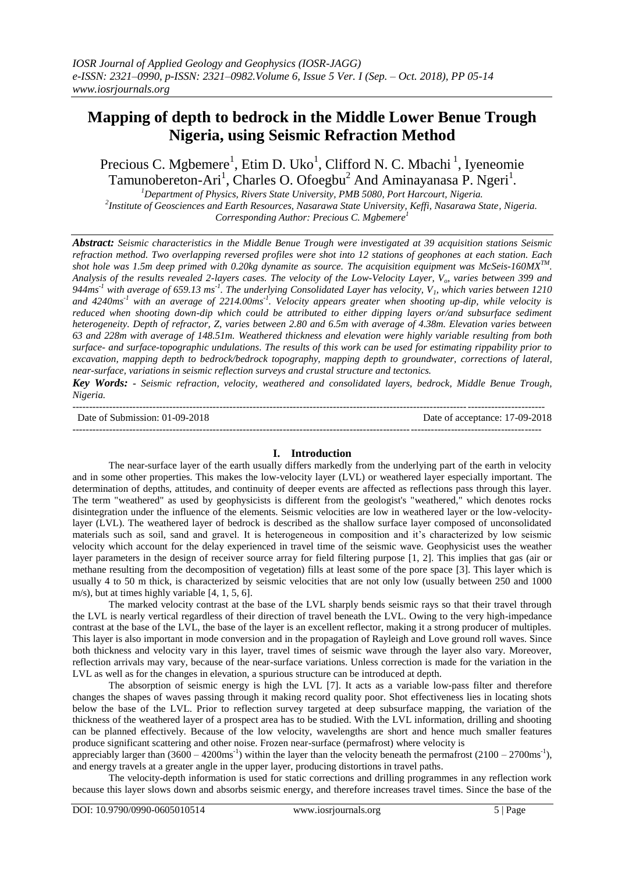# **Mapping of depth to bedrock in the Middle Lower Benue Trough Nigeria, using Seismic Refraction Method**

Precious C. Mgbemere<sup>1</sup>, Etim D. Uko<sup>1</sup>, Clifford N. C. Mbachi<sup>1</sup>, Iyeneomie Tamunobereton-Ari<sup>1</sup>, Charles O. Ofoegbu<sup>2</sup> And Aminayanasa P. Ngeri<sup>1</sup>.

*<sup>1</sup>Department of Physics, Rivers State University, PMB 5080, Port Harcourt, Nigeria. 2 Institute of Geosciences and Earth Resources, Nasarawa State University, Keffi, Nasarawa State, Nigeria. Corresponding Author: Precious C. Mgbemere<sup>1</sup>*

*Abstract: Seismic characteristics in the Middle Benue Trough were investigated at 39 acquisition stations Seismic refraction method. Two overlapping reversed profiles were shot into 12 stations of geophones at each station. Each shot hole was 1.5m deep primed with 0.20kg dynamite as source. The acquisition equipment was McSeis-160MXTM . Analysis of the results revealed 2-layers cases. The velocity of the Low-Velocity Layer, Vo, varies between 399 and 944ms-1 with average of 659.13 ms-1 . The underlying Consolidated Layer has velocity, V1, which varies between 1210*  and 4240ms<sup>-1</sup> with an average of 2214.00ms<sup>-1</sup>. Velocity appears greater when shooting up-dip, while velocity is *reduced when shooting down-dip which could be attributed to either dipping layers or/and subsurface sediment heterogeneity. Depth of refractor, Z, varies between 2.80 and 6.5m with average of 4.38m. Elevation varies between 63 and 228m with average of 148.51m. Weathered thickness and elevation were highly variable resulting from both surface- and surface-topographic undulations. The results of this work can be used for estimating rippability prior to excavation, mapping depth to bedrock/bedrock topography, mapping depth to groundwater, corrections of lateral, near-surface, variations in seismic reflection surveys and crustal structure and tectonics.*

*Key Words: - Seismic refraction, velocity, weathered and consolidated layers, bedrock, Middle Benue Trough, Nigeria.*

| Date of Submission: 01-09-2018 | f acceptance: 17-09-201<br>Date<br>OІ |
|--------------------------------|---------------------------------------|
|                                |                                       |

Date of acceptance: 17-09-2018 --------------------------------------------------------------------------------------------------------------------------------------------

# **I. Introduction**

The near-surface layer of the earth usually differs markedly from the underlying part of the earth in velocity and in some other properties. This makes the low-velocity layer (LVL) or weathered layer especially important. The determination of depths, attitudes, and continuity of deeper events are affected as reflections pass through this layer. The term "weathered" as used by geophysicists is different from the geologist's "weathered," which denotes rocks disintegration under the influence of the elements. Seismic velocities are low in weathered layer or the low-velocitylayer (LVL). The weathered layer of bedrock is described as the shallow surface layer composed of unconsolidated materials such as soil, sand and gravel. It is heterogeneous in composition and it's characterized by low seismic velocity which account for the delay experienced in travel time of the seismic wave. Geophysicist uses the weather layer parameters in the design of receiver source array for field filtering purpose [1, 2]. This implies that gas (air or methane resulting from the decomposition of vegetation) fills at least some of the pore space [3]. This layer which is usually 4 to 50 m thick, is characterized by seismic velocities that are not only low (usually between 250 and 1000 m/s), but at times highly variable [4, 1, 5, 6].

The marked velocity contrast at the base of the LVL sharply bends seismic rays so that their travel through the LVL is nearly vertical regardless of their direction of travel beneath the LVL. Owing to the very high-impedance contrast at the base of the LVL, the base of the layer is an excellent reflector, making it a strong producer of multiples. This layer is also important in mode conversion and in the propagation of Rayleigh and Love ground roll waves. Since both thickness and velocity vary in this layer, travel times of seismic wave through the layer also vary. Moreover, reflection arrivals may vary, because of the near-surface variations. Unless correction is made for the variation in the LVL as well as for the changes in elevation, a spurious structure can be introduced at depth.

The absorption of seismic energy is high the LVL [7]. It acts as a variable low-pass filter and therefore changes the shapes of waves passing through it making record quality poor. Shot effectiveness lies in locating shots below the base of the LVL. Prior to reflection survey targeted at deep subsurface mapping, the variation of the thickness of the weathered layer of a prospect area has to be studied. With the LVL information, drilling and shooting can be planned effectively. Because of the low velocity, wavelengths are short and hence much smaller features produce significant scattering and other noise. Frozen near-surface (permafrost) where velocity is

appreciably larger than  $(3600 - 4200 \text{ms}^1)$  within the layer than the velocity beneath the permafrost  $(2100 - 2700 \text{ms}^1)$ , and energy travels at a greater angle in the upper layer, producing distortions in travel paths.

The velocity-depth information is used for static corrections and drilling programmes in any reflection work because this layer slows down and absorbs seismic energy, and therefore increases travel times. Since the base of the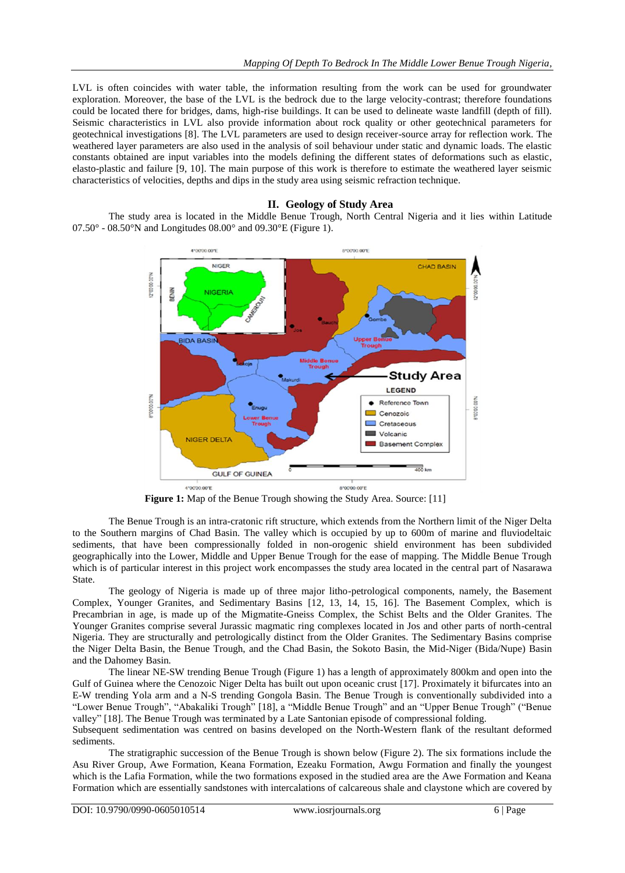LVL is often coincides with water table, the information resulting from the work can be used for groundwater exploration. Moreover, the base of the LVL is the bedrock due to the large velocity-contrast; therefore foundations could be located there for bridges, dams, high-rise buildings. It can be used to delineate waste landfill (depth of fill). Seismic characteristics in LVL also provide information about rock quality or other geotechnical parameters for geotechnical investigations [8]. The LVL parameters are used to design receiver-source array for reflection work. The weathered layer parameters are also used in the analysis of soil behaviour under static and dynamic loads. The elastic constants obtained are input variables into the models defining the different states of deformations such as elastic, elasto-plastic and failure [9, 10]. The main purpose of this work is therefore to estimate the weathered layer seismic characteristics of velocities, depths and dips in the study area using seismic refraction technique.

#### **II. Geology of Study Area**

The study area is located in the Middle Benue Trough, North Central Nigeria and it lies within Latitude  $07.50^{\circ}$  -  $08.50^{\circ}$ N and Longitudes  $08.00^{\circ}$  and  $09.30^{\circ}$ E (Figure 1).



**Figure 1:** Map of the Benue Trough showing the Study Area. Source: [11]

The Benue Trough is an intra-cratonic rift structure, which extends from the Northern limit of the Niger Delta to the Southern margins of Chad Basin. The valley which is occupied by up to 600m of marine and fluviodeltaic sediments, that have been compressionally folded in non-orogenic shield environment has been subdivided geographically into the Lower, Middle and Upper Benue Trough for the ease of mapping. The Middle Benue Trough which is of particular interest in this project work encompasses the study area located in the central part of Nasarawa State.

The geology of Nigeria is made up of three major litho-petrological components, namely, the Basement Complex, Younger Granites, and Sedimentary Basins [12, 13, 14, 15, 16]. The Basement Complex, which is Precambrian in age, is made up of the Migmatite-Gneiss Complex, the Schist Belts and the Older Granites. The Younger Granites comprise several Jurassic magmatic ring complexes located in Jos and other parts of north-central Nigeria. They are structurally and petrologically distinct from the Older Granites. The Sedimentary Basins comprise the Niger Delta Basin, the Benue Trough, and the Chad Basin, the Sokoto Basin, the Mid-Niger (Bida/Nupe) Basin and the Dahomey Basin.

The linear NE-SW trending Benue Trough (Figure 1) has a length of approximately 800km and open into the Gulf of Guinea where the Cenozoic Niger Delta has built out upon oceanic crust [17]. Proximately it bifurcates into an E-W trending Yola arm and a N-S trending Gongola Basin. The Benue Trough is conventionally subdivided into a "Lower Benue Trough", "Abakaliki Trough" [18], a "Middle Benue Trough" and an "Upper Benue Trough" ("Benue valley" [18]. The Benue Trough was terminated by a Late Santonian episode of compressional folding.

Subsequent sedimentation was centred on basins developed on the North-Western flank of the resultant deformed sediments.

The stratigraphic succession of the Benue Trough is shown below (Figure 2). The six formations include the Asu River Group, Awe Formation, Keana Formation, Ezeaku Formation, Awgu Formation and finally the youngest which is the Lafia Formation, while the two formations exposed in the studied area are the Awe Formation and Keana Formation which are essentially sandstones with intercalations of calcareous shale and claystone which are covered by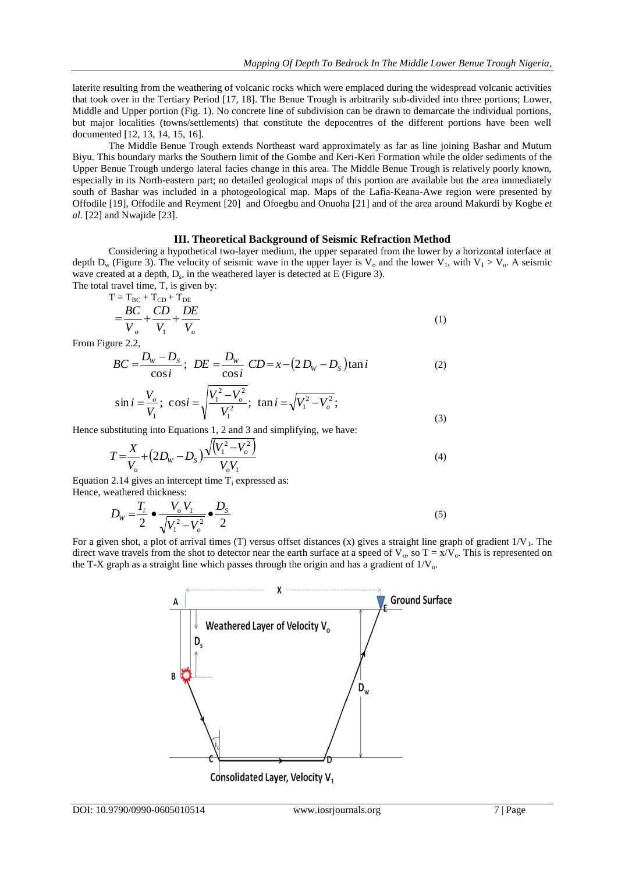laterite resulting from the weathering of volcanic rocks which were emplaced during the widespread volcanic activities that took over in the Tertiary Period [17, 18]. The Benue Trough is arbitrarily sub-divided into three portions; Lower, Middle and Upper portion (Fig. 1). No concrete line of subdivision can be drawn to demarcate the individual portions, but major localities (towns/settlements) that constitute the depocentres of the different portions have been well documented [12, 13, 14, 15, 16].

The Middle Benue Trough extends Northeast ward approximately as far as line joining Bashar and Mutum Biyu. This boundary marks the Southern limit of the Gombe and Keri-Keri Formation while the older sediments of the Upper Benue Trough undergo lateral facies change in this area. The Middle Benue Trough is relatively poorly known, especially in its North-eastern part; no detailed geological maps of this portion are available but the area immediately south of Bashar was included in a photogeological map. Maps of the Lafia-Keana-Awe region were presented by Offodile [19], Offodile and Reyment [20] and Ofoegbu and Onuoha [21] and of the area around Makurdi by Kogbe *et al.* [22] and Nwajide [23].

## **III. Theoretical Background of Seismic Refraction Method**

Considering a hypothetical two-layer medium, the upper separated from the lower by a horizontal interface at depth  $D_w$  (Figure 3). The velocity of seismic wave in the upper layer is  $V_0$  and the lower  $V_1$ , with  $V_1 > V_0$ . A seismic wave created at a depth,  $D_s$ , in the weathered layer is detected at E (Figure 3).

The total travel time, T, is given by:

$$
T = T_{BC} + T_{CD} + T_{DE}
$$
  
= 
$$
\frac{BC}{V_o} + \frac{CD}{V_1} + \frac{DE}{V_o}
$$
 (1)

From Figure 2.2,

$$
BC = \frac{D_w - D_s}{\cos i}; \ DE = \frac{D_w}{\cos i} \ CD = x - (2 D_w - D_s) \tan i \tag{2}
$$

$$
\sin i = \frac{V_o}{V_1}; \quad \cos i = \sqrt{\frac{V_1^2 - V_o^2}{V_1^2}}; \quad \tan i = \sqrt{V_1^2 - V_o^2}; \tag{3}
$$

Hence substituting into Equations 1, 2 and 3 and simplifying, we have:

$$
T = \frac{X}{V_o} + (2D_W - D_S) \frac{\sqrt{(V_1^2 - V_o^2)}}{V_o V_1}
$$
\n(4)

Equation 2.14 gives an intercept time  $T_i$  expressed as: Hence, weathered thickness:

$$
D_{W} = \frac{T_{i}}{2} \cdot \frac{V_{o} V_{1}}{\sqrt{V_{1}^{2} - V_{o}^{2}}} \cdot \frac{D_{S}}{2}
$$
\n(5)

For a given shot, a plot of arrival times (T) versus offset distances (x) gives a straight line graph of gradient  $1/V_1$ . The direct wave travels from the shot to detector near the earth surface at a speed of  $V_0$ , so  $T = x/V_0$ . This is represented on the T-X graph as a straight line which passes through the origin and has a gradient of  $1/V_0$ .

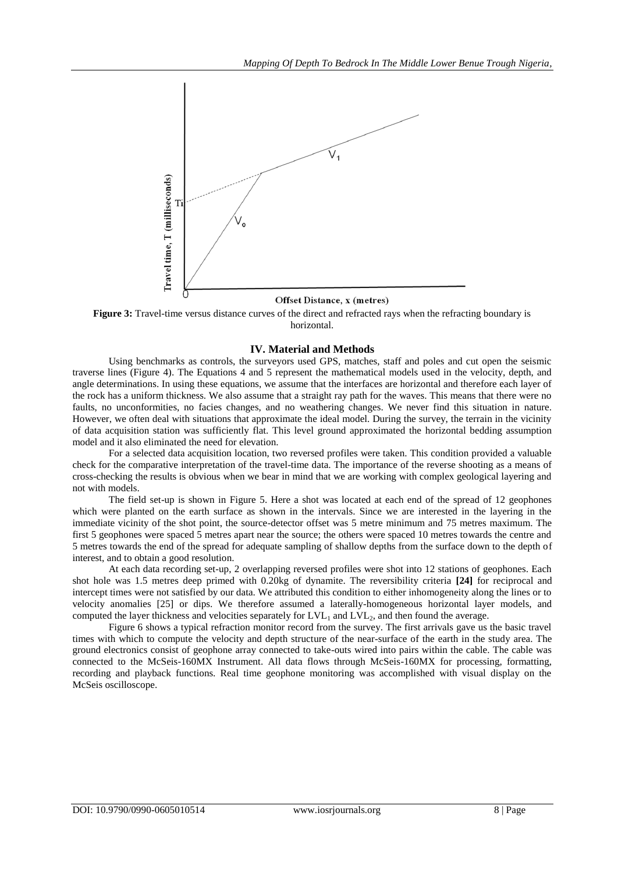

#### Offset Distance, x (metres)

**Figure 3:** Travel-time versus distance curves of the direct and refracted rays when the refracting boundary is horizontal.

### **IV. Material and Methods**

Using benchmarks as controls, the surveyors used GPS, matches, staff and poles and cut open the seismic traverse lines (Figure 4). The Equations 4 and 5 represent the mathematical models used in the velocity, depth, and angle determinations. In using these equations, we assume that the interfaces are horizontal and therefore each layer of the rock has a uniform thickness. We also assume that a straight ray path for the waves. This means that there were no faults, no unconformities, no facies changes, and no weathering changes. We never find this situation in nature. However, we often deal with situations that approximate the ideal model. During the survey, the terrain in the vicinity of data acquisition station was sufficiently flat. This level ground approximated the horizontal bedding assumption model and it also eliminated the need for elevation.

For a selected data acquisition location, two reversed profiles were taken. This condition provided a valuable check for the comparative interpretation of the travel-time data. The importance of the reverse shooting as a means of cross-checking the results is obvious when we bear in mind that we are working with complex geological layering and not with models.

The field set-up is shown in Figure 5. Here a shot was located at each end of the spread of 12 geophones which were planted on the earth surface as shown in the intervals. Since we are interested in the layering in the immediate vicinity of the shot point, the source-detector offset was 5 metre minimum and 75 metres maximum. The first 5 geophones were spaced 5 metres apart near the source; the others were spaced 10 metres towards the centre and 5 metres towards the end of the spread for adequate sampling of shallow depths from the surface down to the depth of interest, and to obtain a good resolution.

At each data recording set-up, 2 overlapping reversed profiles were shot into 12 stations of geophones. Each shot hole was 1.5 metres deep primed with 0.20kg of dynamite. The reversibility criteria **[24]** for reciprocal and intercept times were not satisfied by our data. We attributed this condition to either inhomogeneity along the lines or to velocity anomalies [25] or dips. We therefore assumed a laterally-homogeneous horizontal layer models, and computed the layer thickness and velocities separately for  $LVL<sub>1</sub>$  and  $LVL<sub>2</sub>$ , and then found the average.

Figure 6 shows a typical refraction monitor record from the survey. The first arrivals gave us the basic travel times with which to compute the velocity and depth structure of the near-surface of the earth in the study area. The ground electronics consist of geophone array connected to take-outs wired into pairs within the cable. The cable was connected to the McSeis-160MX Instrument. All data flows through McSeis-160MX for processing, formatting, recording and playback functions. Real time geophone monitoring was accomplished with visual display on the McSeis oscilloscope.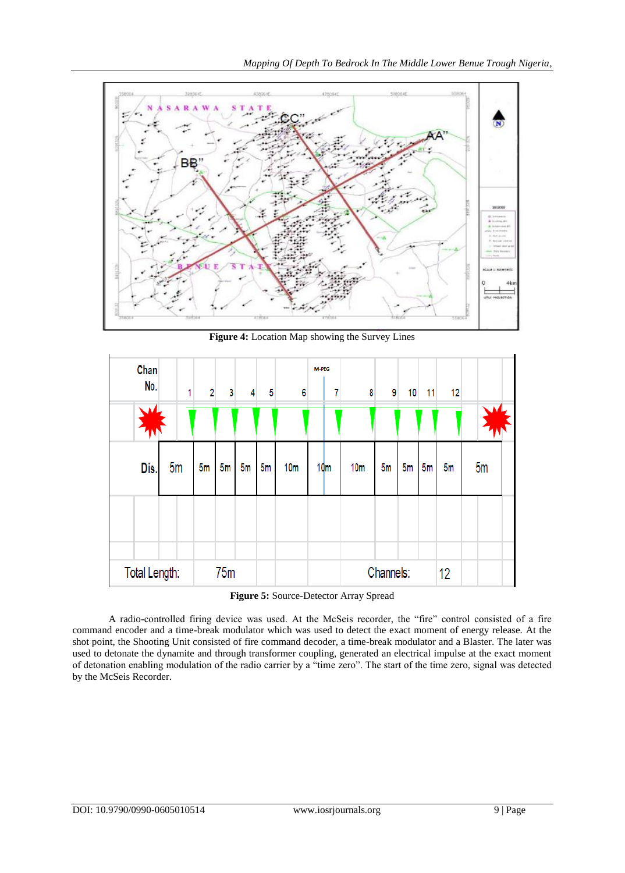

**Figure 4:** Location Map showing the Survey Lines



**Figure 5:** Source-Detector Array Spread

A radio-controlled firing device was used. At the McSeis recorder, the "fire" control consisted of a fire command encoder and a time-break modulator which was used to detect the exact moment of energy release. At the shot point, the Shooting Unit consisted of fire command decoder, a time-break modulator and a Blaster. The later was used to detonate the dynamite and through transformer coupling, generated an electrical impulse at the exact moment of detonation enabling modulation of the radio carrier by a "time zero". The start of the time zero, signal was detected by the McSeis Recorder.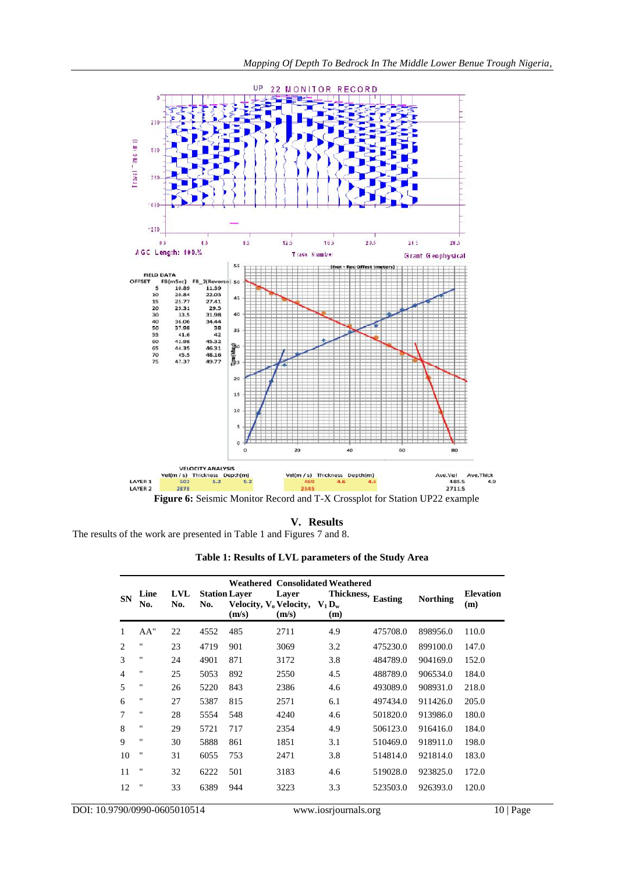

# **V. Results**

The results of the work are presented in Table 1 and Figures 7 and 8.

| Table 1: Results of LVL parameters of the Study Area |  |  |  |
|------------------------------------------------------|--|--|--|
|------------------------------------------------------|--|--|--|

| <b>SN</b>      | Line<br>No.        | LVL<br>No. | No.  | <b>Station Laver</b><br>Velocity, $V_0$ Velocity, $V_1 D_w$ | Layer | <b>Weathered Consolidated Weathered</b><br>Thickness, Easting |          | <b>Northing</b> | <b>Elevation</b><br>(m) |
|----------------|--------------------|------------|------|-------------------------------------------------------------|-------|---------------------------------------------------------------|----------|-----------------|-------------------------|
|                |                    |            |      | (m/s)                                                       | (m/s) | (m)                                                           |          |                 |                         |
| 1              | AA"                | 22         | 4552 | 485                                                         | 2711  | 4.9                                                           | 475708.0 | 898956.0        | 110.0                   |
| 2              | $\pmb{\mathsf{H}}$ | 23         | 4719 | 901                                                         | 3069  | 3.2                                                           | 475230.0 | 899100.0        | 147.0                   |
| 3              | $\pmb{\mathsf{H}}$ | 24         | 4901 | 871                                                         | 3172  | 3.8                                                           | 484789.0 | 904169.0        | 152.0                   |
| $\overline{4}$ | $\pmb{\mathsf{H}}$ | 25         | 5053 | 892                                                         | 2550  | 4.5                                                           | 488789.0 | 906534.0        | 184.0                   |
| 5              | $\pmb{\mathsf{H}}$ | 26         | 5220 | 843                                                         | 2386  | 4.6                                                           | 493089.0 | 908931.0        | 218.0                   |
| 6              | $\pmb{\mathsf{H}}$ | 27         | 5387 | 815                                                         | 2571  | 6.1                                                           | 497434.0 | 911426.0        | 205.0                   |
| 7              | $\pmb{\mathsf{H}}$ | 28         | 5554 | 548                                                         | 4240  | 4.6                                                           | 501820.0 | 913986.0        | 180.0                   |
| 8              | $\pmb{\mathsf{H}}$ | 29         | 5721 | 717                                                         | 2354  | 4.9                                                           | 506123.0 | 916416.0        | 184.0                   |
| 9              | $\pmb{\mathsf{H}}$ | 30         | 5888 | 861                                                         | 1851  | 3.1                                                           | 510469.0 | 918911.0        | 198.0                   |
| 10             | $^{\prime\prime}$  | 31         | 6055 | 753                                                         | 2471  | 3.8                                                           | 514814.0 | 921814.0        | 183.0                   |
| 11             | $^{\prime\prime}$  | 32         | 6222 | 501                                                         | 3183  | 4.6                                                           | 519028.0 | 923825.0        | 172.0                   |
| 12             | $^{\rm{H}}$        | 33         | 6389 | 944                                                         | 3223  | 3.3                                                           | 523503.0 | 926393.0        | 120.0                   |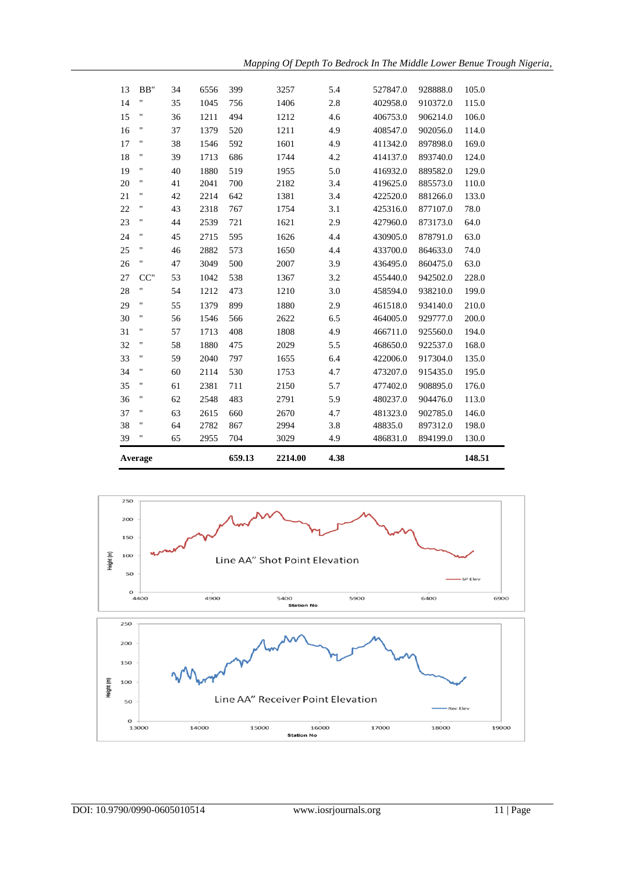

**Average 659.13 2214.00 4.38 148.51**

| 14     | Ħ      | 35 | 1045 | 756 | 1406 | 2.8 | 402958.0 | 910372.0 | 115.0 |
|--------|--------|----|------|-----|------|-----|----------|----------|-------|
| 15     | Ħ      | 36 | 1211 | 494 | 1212 | 4.6 | 406753.0 | 906214.0 | 106.0 |
| 16     | Ħ      | 37 | 1379 | 520 | 1211 | 4.9 | 408547.0 | 902056.0 | 114.0 |
| 17     | Ħ      | 38 | 1546 | 592 | 1601 | 4.9 | 411342.0 | 897898.0 | 169.0 |
| 18     | н      | 39 | 1713 | 686 | 1744 | 4.2 | 414137.0 | 893740.0 | 124.0 |
| 19     | Ħ      | 40 | 1880 | 519 | 1955 | 5.0 | 416932.0 | 889582.0 | 129.0 |
| 20     | н      | 41 | 2041 | 700 | 2182 | 3.4 | 419625.0 | 885573.0 | 110.0 |
| 21     | Ħ      | 42 | 2214 | 642 | 1381 | 3.4 | 422520.0 | 881266.0 | 133.0 |
| $22\,$ | н      | 43 | 2318 | 767 | 1754 | 3.1 | 425316.0 | 877107.0 | 78.0  |
| 23     | н      | 44 | 2539 | 721 | 1621 | 2.9 | 427960.0 | 873173.0 | 64.0  |
| 24     | н      | 45 | 2715 | 595 | 1626 | 4.4 | 430905.0 | 878791.0 | 63.0  |
| 25     | Ħ      | 46 | 2882 | 573 | 1650 | 4.4 | 433700.0 | 864633.0 | 74.0  |
| 26     | Ħ      | 47 | 3049 | 500 | 2007 | 3.9 | 436495.0 | 860475.0 | 63.0  |
| 27     | $CC$ " | 53 | 1042 | 538 | 1367 | 3.2 | 455440.0 | 942502.0 | 228.0 |
| 28     | Ħ      | 54 | 1212 | 473 | 1210 | 3.0 | 458594.0 | 938210.0 | 199.0 |
| 29     | Ħ      | 55 | 1379 | 899 | 1880 | 2.9 | 461518.0 | 934140.0 | 210.0 |
| 30     | Ħ      | 56 | 1546 | 566 | 2622 | 6.5 | 464005.0 | 929777.0 | 200.0 |
| 31     | Ħ      | 57 | 1713 | 408 | 1808 | 4.9 | 466711.0 | 925560.0 | 194.0 |
| 32     | н      | 58 | 1880 | 475 | 2029 | 5.5 | 468650.0 | 922537.0 | 168.0 |
| 33     | н      | 59 | 2040 | 797 | 1655 | 6.4 | 422006.0 | 917304.0 | 135.0 |
| 34     | н      | 60 | 2114 | 530 | 1753 | 4.7 | 473207.0 | 915435.0 | 195.0 |
| 35     | Ħ      | 61 | 2381 | 711 | 2150 | 5.7 | 477402.0 | 908895.0 | 176.0 |
| 36     | 11     | 62 | 2548 | 483 | 2791 | 5.9 | 480237.0 | 904476.0 | 113.0 |
| 37     | н      | 63 | 2615 | 660 | 2670 | 4.7 | 481323.0 | 902785.0 | 146.0 |
| 38     | н      | 64 | 2782 | 867 | 2994 | 3.8 | 48835.0  | 897312.0 | 198.0 |
| 39     | Ħ      | 65 | 2955 | 704 | 3029 | 4.9 | 486831.0 | 894199.0 | 130.0 |

BB" 34 6556 399 3257 5.4 527847.0 928888.0 105.0

*Mapping Of Depth To Bedrock In The Middle Lower Benue Trough Nigeria,*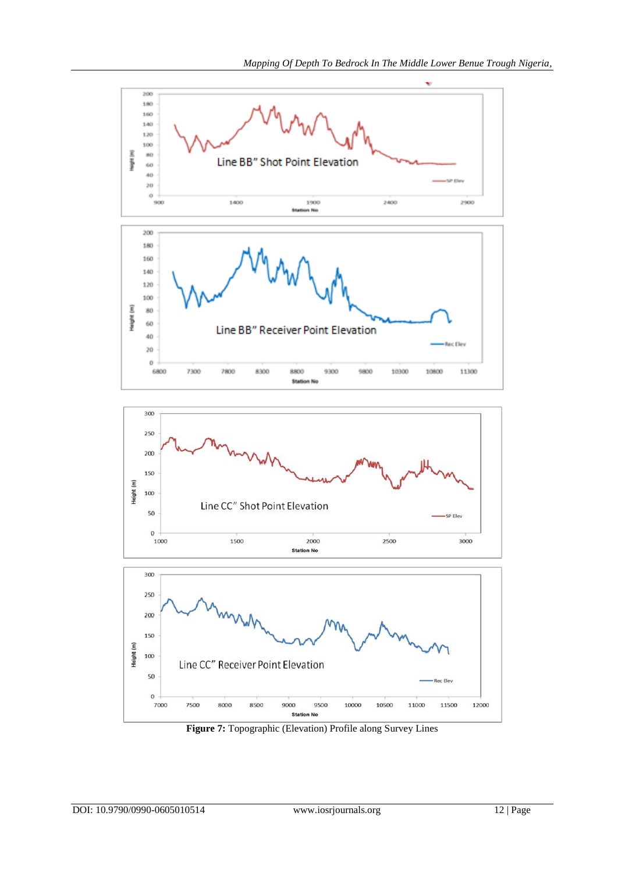





**Figure 7:** Topographic (Elevation) Profile along Survey Lines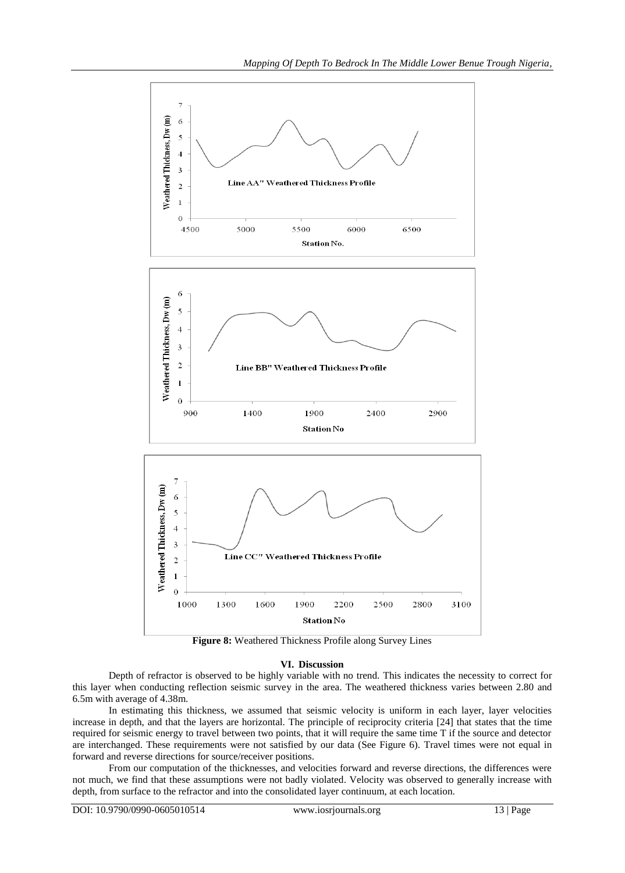

**Figure 8:** Weathered Thickness Profile along Survey Lines

## **VI. Discussion**

Depth of refractor is observed to be highly variable with no trend. This indicates the necessity to correct for this layer when conducting reflection seismic survey in the area. The weathered thickness varies between 2.80 and 6.5m with average of 4.38m.

In estimating this thickness, we assumed that seismic velocity is uniform in each layer, layer velocities increase in depth, and that the layers are horizontal. The principle of reciprocity criteria [24] that states that the time required for seismic energy to travel between two points, that it will require the same time T if the source and detector are interchanged. These requirements were not satisfied by our data (See Figure 6). Travel times were not equal in forward and reverse directions for source/receiver positions.

From our computation of the thicknesses, and velocities forward and reverse directions, the differences were not much, we find that these assumptions were not badly violated. Velocity was observed to generally increase with depth, from surface to the refractor and into the consolidated layer continuum, at each location.